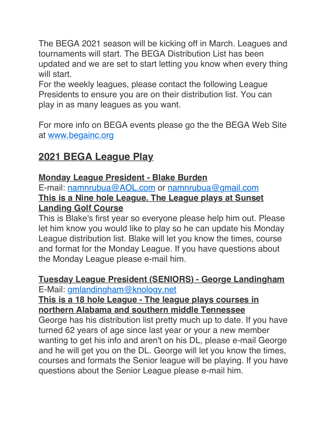The BEGA 2021 season will be kicking off in March. Leagues and tournaments will start. The BEGA Distribution List has been updated and we are set to start letting you know when every thing will start.

For the weekly leagues, please contact the following League Presidents to ensure you are on their distribution list. You can play in as many leagues as you want.

For more info on BEGA events please go the the BEGA Web Site at [www.begainc.org](http://www.begainc.org/)

# **2021 BEGA League Play**

## **Monday League President - Blake Burden**

E-mail: [namnrubua@AOL.com](mailto:namnrubua@AOL.com) or [namnrubua@gmail.com](mailto:namnrubua@gmail.com) **This is a Nine hole League. The League plays at Sunset Landing Golf Course**

This is Blake's first year so everyone please help him out. Please let him know you would like to play so he can update his Monday League distribution list. Blake will let you know the times, course and format for the Monday League. If you have questions about the Monday League please e-mail him.

#### **Tuesday League President (SENIORS) - George Landingham** E-Mail: [gmlandingham@knology.net](mailto:gmlandingham@knology.net)

### **This is a 18 hole League - The league plays courses in northern Alabama and southern middle Tennessee**

George has his distribution list pretty much up to date. If you have turned 62 years of age since last year or your a new member wanting to get his info and aren't on his DL, please e-mail George and he will get you on the DL. George will let you know the times, courses and formats the Senior league will be playing. If you have questions about the Senior League please e-mail him.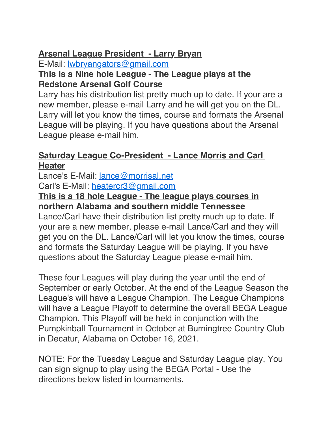### **Arsenal League President - Larry Bryan**

E-Mail: [lwbryangators@gmail.com](mailto:lwbryangators@gmail.com) **This is a Nine hole League - The League plays at the** 

#### **Redstone Arsenal Golf Course**

Larry has his distribution list pretty much up to date. If your are a new member, please e-mail Larry and he will get you on the DL. Larry will let you know the times, course and formats the Arsenal League will be playing. If you have questions about the Arsenal League please e-mail him.

### **<u>Saturday League Co-President - Lance Morris and Carl</u> Heater**

Lance's E-Mail: [lance@morrisal.net](mailto:lance@morrisal.net) Carl's E-Mail: [heatercr3@gmail.com](mailto:heatercr3@gmail.com)

### **This is a 18 hole League - The league plays courses in northern Alabama and southern middle Tennessee**

Lance/Carl have their distribution list pretty much up to date. If your are a new member, please e-mail Lance/Carl and they will get you on the DL. Lance/Carl will let you know the times, course and formats the Saturday League will be playing. If you have questions about the Saturday League please e-mail him.

These four Leagues will play during the year until the end of September or early October. At the end of the League Season the League's will have a League Champion. The League Champions will have a League Playoff to determine the overall BEGA League Champion. This Playoff will be held in conjunction with the Pumpkinball Tournament in October at Burningtree Country Club in Decatur, Alabama on October 16, 2021.

NOTE: For the Tuesday League and Saturday League play, You can sign signup to play using the BEGA Portal - Use the directions below listed in tournaments.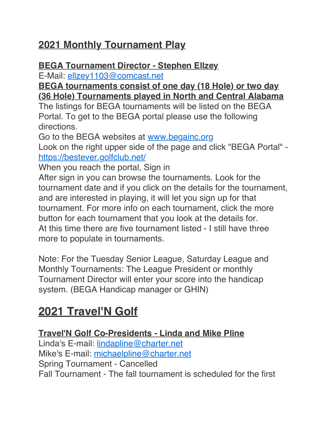# **2021 Monthly Tournament Play**

### **BEGA Tournament Director - Stephen Ellzey**

E-Mail: [ellzey1103@comcast.net](mailto:ellzey1103@comcast.net)

### **BEGA tournaments consist of one day (18 Hole) or two day (36 Hole) Tournaments played in North and Central Alabama**

The listings for BEGA tournaments will be listed on the BEGA Portal. To get to the BEGA portal please use the following directions.

Go to the BEGA websites at [www.begainc.org](http://www.begainc.org/)

Look on the right upper side of the page and click "BEGA Portal" <https://bestever.golfclub.net/>

When you reach the portal, Sign in

After sign in you can browse the tournaments. Look for the tournament date and if you click on the details for the tournament, and are interested in playing, it will let you sign up for that tournament. For more info on each tournament, click the more button for each tournament that you look at the details for. At this time there are five tournament listed - I still have three more to populate in tournaments.

Note: For the Tuesday Senior League, Saturday League and Monthly Tournaments: The League President or monthly Tournament Director will enter your score into the handicap system. (BEGA Handicap manager or GHIN)

# **2021 Travel'N Golf**

### **Travel'N Golf Co-Presidents - Linda and Mike Pline**

Linda's E-mail: [lindapline@charter.net](mailto:lindapline@charter.net) Mike's E-mail: [michaelpline@charter.net](mailto:michaelpline@charter.net) Spring Tournament - Cancelled Fall Tournament - The fall tournament is scheduled for the first